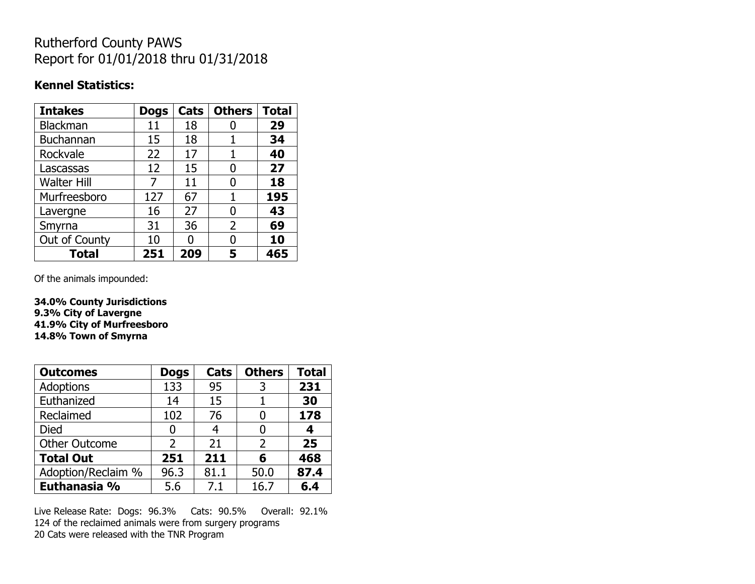## Rutherford County PAWS Report for 01/01/2018 thru 01/31/2018

#### **Kennel Statistics:**

| <b>Intakes</b>     | <b>Dogs</b> | Cats | <b>Others</b>  | <b>Total</b> |
|--------------------|-------------|------|----------------|--------------|
| Blackman           | 11          | 18   |                | 29           |
| <b>Buchannan</b>   | 15          | 18   |                | 34           |
| Rockvale           | 22          | 17   |                | 40           |
| Lascassas          | 12          | 15   | O              | 27           |
| <b>Walter Hill</b> | 7           | 11   | 0              | 18           |
| Murfreesboro       | 127         | 67   | 1              | 195          |
| Lavergne           | 16          | 27   | O              | 43           |
| Smyrna             | 31          | 36   | $\overline{2}$ | 69           |
| Out of County      | 10          | U    | N              | 10           |
| <b>Total</b>       | 251         | 209  | 5              | 465          |

Of the animals impounded:

**34.0% County Jurisdictions 9.3% City of Lavergne 41.9% City of Murfreesboro 14.8% Town of Smyrna**

| <b>Outcomes</b>      | <b>Dogs</b>   | Cats | <b>Others</b> | <b>Total</b> |
|----------------------|---------------|------|---------------|--------------|
| Adoptions            | 133           | 95   | 3             | 231          |
| Euthanized           | 14            | 15   |               | 30           |
| Reclaimed            | 102           | 76   |               | 178          |
| <b>Died</b>          | 0             |      |               | 4            |
| <b>Other Outcome</b> | $\mathcal{P}$ | 21   | 2             | 25           |
| <b>Total Out</b>     | 251           | 211  | 6             | 468          |
| Adoption/Reclaim %   | 96.3          | 81.1 | 50.0          | 87.4         |
| Euthanasia %         | 5.6           | 7.1  | 16.7          | 6.4          |

Live Release Rate: Dogs: 96.3% Cats: 90.5% Overall: 92.1% 124 of the reclaimed animals were from surgery programs 20 Cats were released with the TNR Program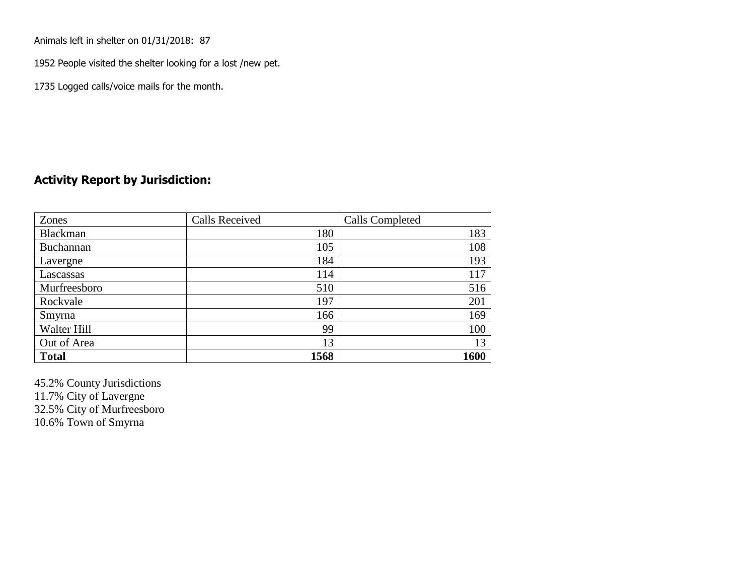Animals left in shelter on 01/31/2018: 87

1952 People visited the shelter looking for a lost /new pet.

1735 Logged calls/voice mails for the month.

### **Activity Report by Jurisdiction:**

| Zones        | <b>Calls Received</b> | Calls Completed |
|--------------|-----------------------|-----------------|
| Blackman     | 180                   | 183             |
| Buchannan    | 105                   | 108             |
| Lavergne     | 184                   | 193             |
| Lascassas    | 114                   | 117             |
| Murfreesboro | 510                   | 516             |
| Rockvale     | 197                   | 201             |
| Smyrna       | 166                   | 169             |
| Walter Hill  | 99                    | 100             |
| Out of Area  | 13                    | 13              |
| <b>Total</b> | 1568                  | 1600            |

45.2% County Jurisdictions 11.7% City of Lavergne 32.5% City of Murfreesboro 10.6% Town of Smyrna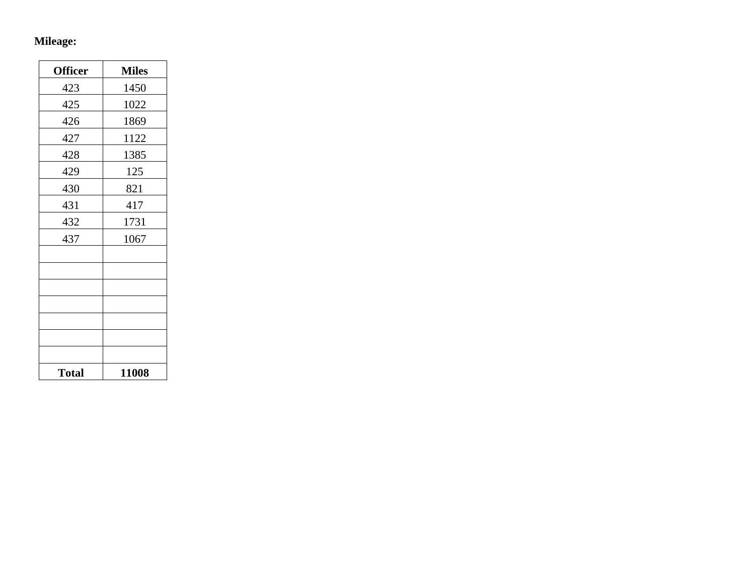# **Mileage:**

| <b>Officer</b> | <b>Miles</b> |
|----------------|--------------|
| 423            | 1450         |
| 425            | 1022         |
| 426            | 1869         |
| 427            | 1122         |
| 428            | 1385         |
| 429            | 125          |
| 430            | 821          |
| 431            | 417          |
| 432            | 1731         |
| 437            | 1067         |
|                |              |
|                |              |
|                |              |
|                |              |
|                |              |
|                |              |
|                |              |
| <b>Total</b>   | 11008        |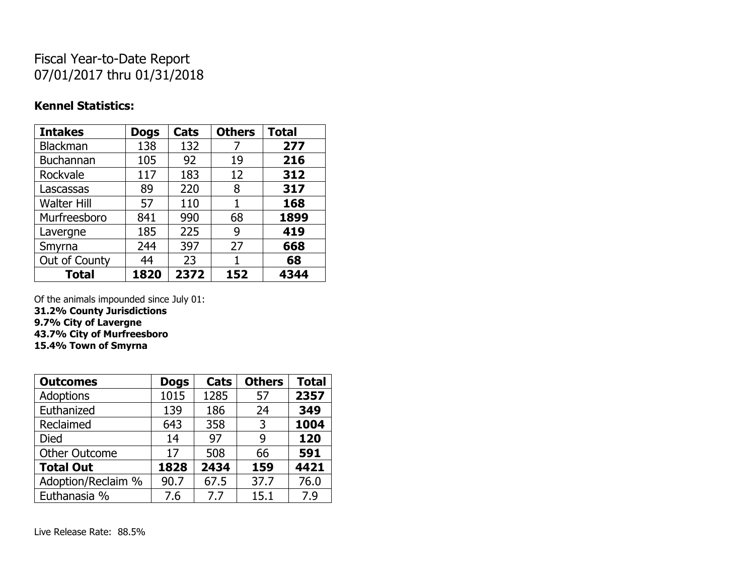## Fiscal Year-to-Date Report 07/01/2017 thru 01/31/2018

### **Kennel Statistics:**

| <b>Intakes</b>     | <b>Dogs</b> | Cats | <b>Others</b> | <b>Total</b> |
|--------------------|-------------|------|---------------|--------------|
| Blackman           | 138         | 132  | 7             | 277          |
| <b>Buchannan</b>   | 105         | 92   | 19            | 216          |
| Rockvale           | 117         | 183  | 12            | 312          |
| Lascassas          | 89          | 220  | 8             | 317          |
| <b>Walter Hill</b> | 57          | 110  | 1             | 168          |
| Murfreesboro       | 841         | 990  | 68            | 1899         |
| Lavergne           | 185         | 225  | 9             | 419          |
| Smyrna             | 244         | 397  | 27            | 668          |
| Out of County      | 44          | 23   |               | 68           |
| <b>Total</b>       | 1820        | 2372 | 152           | 4344         |

Of the animals impounded since July 01:

**31.2% County Jurisdictions 9.7% City of Lavergne**

**43.7% City of Murfreesboro**

**15.4% Town of Smyrna**

| <b>Outcomes</b>      | <b>Dogs</b> | Cats | <b>Others</b> | <b>Total</b> |
|----------------------|-------------|------|---------------|--------------|
| <b>Adoptions</b>     | 1015        | 1285 | 57            | 2357         |
| Euthanized           | 139         | 186  | 24            | 349          |
| Reclaimed            | 643         | 358  | 3             | 1004         |
| Died                 | 14          | 97   | q             | 120          |
| <b>Other Outcome</b> | 17          | 508  | 66            | 591          |
| <b>Total Out</b>     | 1828        | 2434 | 159           | 4421         |
| Adoption/Reclaim %   | 90.7        | 67.5 | 37.7          | 76.0         |
| Euthanasia %         | 7.6         | 7.7  | 15.1          | 7.9          |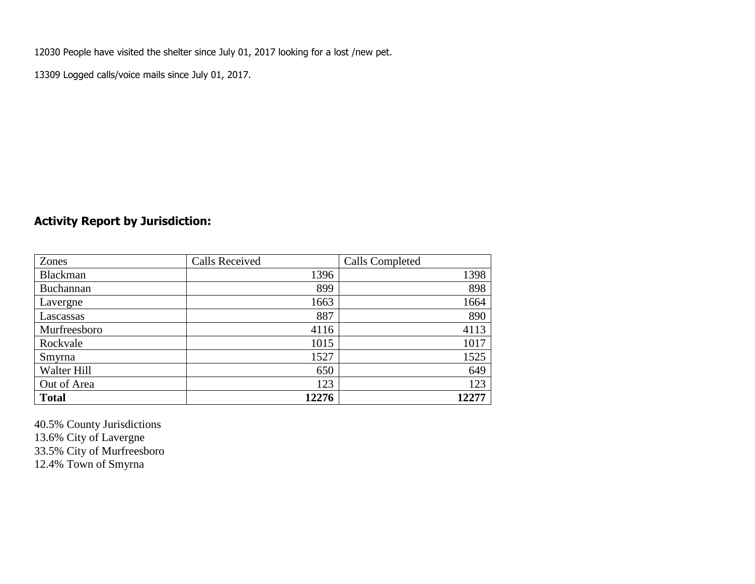12030 People have visited the shelter since July 01, 2017 looking for a lost /new pet.

13309 Logged calls/voice mails since July 01, 2017.

## **Activity Report by Jurisdiction:**

| Zones           | <b>Calls Received</b> | Calls Completed |
|-----------------|-----------------------|-----------------|
| <b>Blackman</b> | 1396                  | 1398            |
| Buchannan       | 899                   | 898             |
| Lavergne        | 1663                  | 1664            |
| Lascassas       | 887                   | 890             |
| Murfreesboro    | 4116                  | 4113            |
| Rockvale        | 1015                  | 1017            |
| Smyrna          | 1527                  | 1525            |
| Walter Hill     | 650                   | 649             |
| Out of Area     | 123                   | 123             |
| <b>Total</b>    | 12276                 | 12277           |

40.5% County Jurisdictions 13.6% City of Lavergne 33.5% City of Murfreesboro 12.4% Town of Smyrna